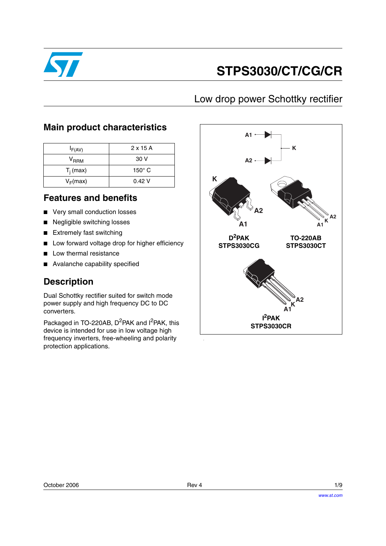

# **STPS3030/CT/CG/CR**

## Low drop power Schottky rectifier

### **Main product characteristics**

| $I_{F(AV)}$   | $2 \times 15$ A |
|---------------|-----------------|
| $V_{\sf RRM}$ | 30 V            |
| $T_i$ (max)   | $150^\circ$ C   |
| $V_F(max)$    | 0.42V           |

### **Features and benefits**

- Very small conduction losses
- Negligible switching losses
- Extremely fast switching
- Low forward voltage drop for higher efficiency
- Low thermal resistance
- Avalanche capability specified

## **Description**

Dual Schottky rectifier suited for switch mode power supply and high frequency DC to DC converters.

Packaged in TO-220AB, D<sup>2</sup>PAK and I<sup>2</sup>PAK, this device is intended for use in low voltage high frequency inverters, free-wheeling and polarity protection applications.

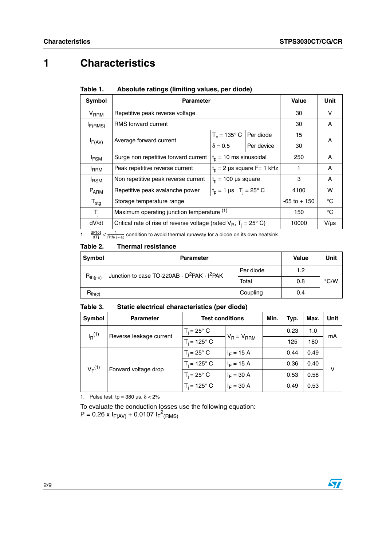# **1 Characteristics**

| Symbol           | <b>Parameter</b>                                                                | <b>Value</b>                             | Unit                         |                 |             |
|------------------|---------------------------------------------------------------------------------|------------------------------------------|------------------------------|-----------------|-------------|
| $V_{RRM}$        | Repetitive peak reverse voltage                                                 |                                          |                              | 30              | v           |
| $I_{F(RMS)}$     | <b>RMS</b> forward current                                                      |                                          |                              | 30              | A           |
|                  |                                                                                 | $T_c = 135^\circ \text{ C}$ Per diode    |                              | 15              | A           |
| $I_{F(AV)}$      | Average forward current                                                         | $\delta = 0.5$                           | Per device                   | 30              |             |
| $I_{FSM}$        | Surge non repetitive forward current                                            | $t_0$ = 10 ms sinusoidal                 |                              | 250             | A           |
| <sup>I</sup> RRM | Peak repetitive reverse current                                                 |                                          | $t_0 = 2$ µs square F= 1 kHz | 1               | A           |
| <b>IRSM</b>      | Non repetitive peak reverse current                                             | $t_p = 100$ µs square                    |                              | 3               | A           |
| $P_{ARM}$        | Repetitive peak avalanche power                                                 | $t_0 = 1 \,\mu s \quad T_i = 25^\circ C$ |                              | 4100            | W           |
| $T_{\text{stg}}$ | Storage temperature range                                                       |                                          |                              | $-65$ to $+150$ | °C          |
| $T_i$            | Maximum operating junction temperature (1)                                      |                                          |                              | 150             | $^{\circ}C$ |
| dV/dt            | Critical rate of rise of reverse voltage (rated $V_B$ , T <sub>i</sub> = 25° C) |                                          |                              | 10000           | $V/\mu s$   |

#### Table 1. Absolute ratings (limiting values, per diode)

1.  $\frac{dPtot}{dTj} < \frac{1}{Rth(j-a)}$  condition to avoid thermal runaway for a diode on its own heatsink

#### Table 2. **Thermal resistance**

| <b>Symbol</b> | <b>Parameter</b>                                                    | Value     | Unit |               |
|---------------|---------------------------------------------------------------------|-----------|------|---------------|
|               | Junction to case TO-220AB - D <sup>2</sup> PAK - I <sup>2</sup> PAK | Per diode | 1.2  |               |
| $R_{th(j-c)}$ |                                                                     | Total     | 0.8  | $\degree$ C/W |
| $R_{th(c)}$   |                                                                     | Coupling  | 0.4  |               |

#### Table 3. Static electrical characteristics (per diode)

| Symbol                                                | <b>Parameter</b>      | <b>Test conditions</b> |                 | Min. | Typ. | Max. | Unit |
|-------------------------------------------------------|-----------------------|------------------------|-----------------|------|------|------|------|
| $I_{R}^{(1)}$<br>Reverse leakage current              |                       | $T_i = 25^\circ$ C     | $V_R = V_{RRM}$ |      | 0.23 | 1.0  | mΑ   |
|                                                       | $T_i = 125^{\circ} C$ |                        |                 | 125  | 180  |      |      |
| V <sub>E</sub> <sup>(1)</sup><br>Forward voltage drop | $T_i = 25^\circ$ C    | $I_F = 15 A$           |                 | 0.44 | 0.49 |      |      |
|                                                       |                       | $T_i = 125^{\circ} C$  | $I_F = 15 A$    |      | 0.36 | 0.40 | v    |
|                                                       |                       | $T_i = 25^\circ$ C     | $I_F = 30 A$    |      | 0.53 | 0.58 |      |
|                                                       |                       | $T_i = 125^\circ$ C    | $I_F = 30 A$    |      | 0.49 | 0.53 |      |

<span id="page-1-0"></span>1. Pulse test: tp =  $380 \,\mu s$ ,  $\delta < 2\%$ 

To evaluate the conduction losses use the following equation:

 $P = 0.26 \times I_{F(AV)} + 0.0107 I_{F}^{2}$ (RMS)

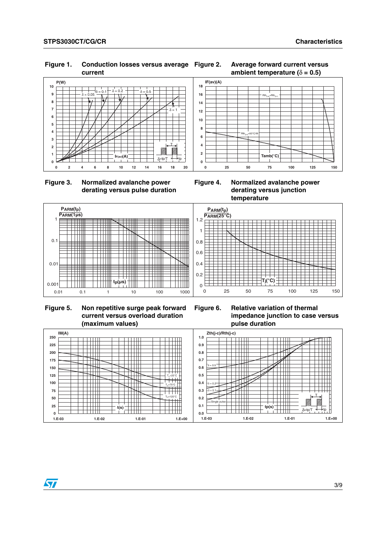#### **0 1 2 3 4 5 6 7 8 9 10 0 2 4 6 8 10 12 14 16 18 20**  $I_{F(av)}(A)$ **P(W)**  $\delta = 0.05$   $\lambda$   $\delta = 0.1$   $\delta = 0.2$   $\delta = 0.5$  $δ = 1$ T  $\frac{\delta = \text{tp/T} \quad \text{18}}{\text{16}}$  **0**<br>16 18 20

### **Figure 1. Conduction losses versus average current**





 **Figure 3. Normalized avalanche power derating versus pulse duration**

**Figure 4. Normalized avalanche power derating versus junction temperature**



 **Figure 5. Non repetitive surge peak forward current versus overload duration (maximum values)** 

**Figure 6. Relative variation of thermal impedance junction to case versus pulse duration** 

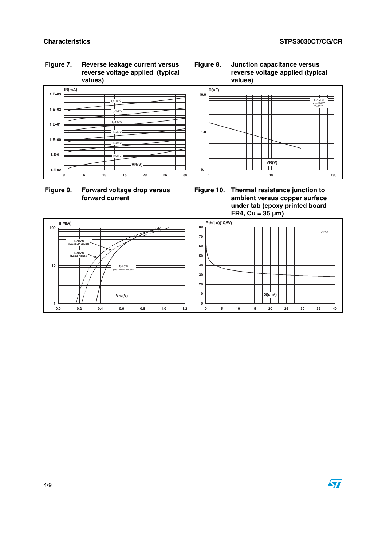F=1MHz  $V_{\rm osc}$ =30mV Tj  $=25^{\circ}C$ 

### **Figure 7. Reverse leakage current versus reverse voltage applied (typical values)**





**Figure 10. Thermal resistance junction to ambient versus copper surface under tab (epoxy printed board FR4, Cu = 35 µm)**



### **Figure 8. Junction capacitance versus reverse voltage applied (typical values)**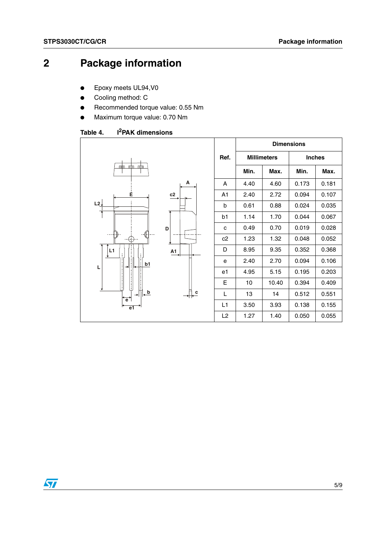# **2 Package information**

- Epoxy meets UL94, V0
- Cooling method: C
- Recommended torque value: 0.55 Nm
- Maximum torque value: 0.70 Nm

Table 4. **I<sup>2</sup>PAK dimensions** 

|                                                                                                                   |                       |                | <b>Dimensions</b>  |       |               |       |  |
|-------------------------------------------------------------------------------------------------------------------|-----------------------|----------------|--------------------|-------|---------------|-------|--|
|                                                                                                                   |                       | Ref.           | <b>Millimeters</b> |       | <b>Inches</b> |       |  |
| nto ato<br><u>um</u>                                                                                              |                       |                | Min.               | Max.  | Min.          | Max.  |  |
|                                                                                                                   | Α                     | A              | 4.40               | 4.60  | 0.173         | 0.181 |  |
| Ė                                                                                                                 | c2                    | A <sub>1</sub> | 2.40               | 2.72  | 0.094         | 0.107 |  |
| L2                                                                                                                |                       | b              | 0.61               | 0.88  | 0.024         | 0.035 |  |
|                                                                                                                   |                       | b1             | 1.14               | 1.70  | 0.044         | 0.067 |  |
|                                                                                                                   | D                     | C              | 0.49               | 0.70  | 0.019         | 0.028 |  |
| Ŧ                                                                                                                 |                       | c2             | 1.23               | 1.32  | 0.048         | 0.052 |  |
| L1                                                                                                                | $\overrightarrow{A1}$ | D              | 8.95               | 9.35  | 0.352         | 0.368 |  |
| b1<br>÷<br>$\mathbf{I}$<br>ю                                                                                      |                       | e              | 2.40               | 2.70  | 0.094         | 0.106 |  |
| L                                                                                                                 |                       | e1             | 4.95               | 5.15  | 0.195         | 0.203 |  |
| $\hspace{0.01in} \hspace{0.01in} \hspace{0.01in} \hspace{0.01in} \hspace{0.01in} \hspace{0.01in} \hspace{0.01in}$ |                       | E              | 10                 | 10.40 | 0.394         | 0.409 |  |
| $\overline{a}$<br>$\rightarrow$<br>$\overrightarrow{e}$                                                           | C                     | L              | 13                 | 14    | 0.512         | 0.551 |  |
| e <sub>1</sub>                                                                                                    |                       | L1             | 3.50               | 3.93  | 0.138         | 0.155 |  |
|                                                                                                                   |                       | L2             | 1.27               | 1.40  | 0.050         | 0.055 |  |

T

 $\overline{\mathsf{r}}$ 

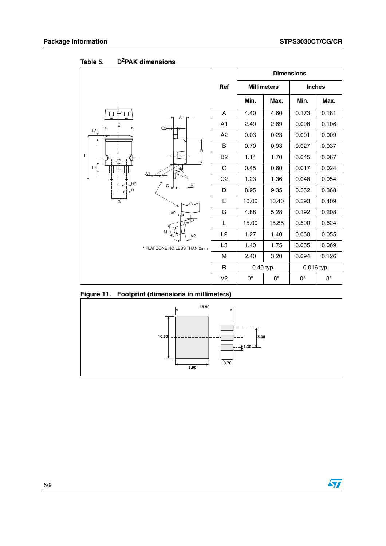|                                    |                |             |                    | <b>Dimensions</b> |               |
|------------------------------------|----------------|-------------|--------------------|-------------------|---------------|
|                                    | Ref            |             | <b>Millimeters</b> |                   | <b>Inches</b> |
|                                    |                | Min.        | Max.               | Min.              | Max.          |
|                                    | A              | 4.40        | 4.60               | 0.173             | 0.181         |
| Ė<br>C2<br>L2<br>D                 | A <sub>1</sub> | 2.49        | 2.69               | 0.098             | 0.106         |
|                                    | A2             | 0.03        | 0.23               | 0.001             | 0.009         |
|                                    | B              | 0.70        | 0.93               | 0.027             | 0.037         |
| L<br>Œ                             | B <sub>2</sub> | 1.14        | 1.70               | 0.045             | 0.067         |
| L <sub>3</sub><br>A1               | $\mathsf{C}$   | 0.45        | 0.60               | 0.017             | 0.024         |
| B2                                 | C <sub>2</sub> | 1.23        | 1.36               | 0.048             | 0.054         |
| $\sf R$<br>$C_{\rightarrow}$<br>B. | D              | 8.95        | 9.35               | 0.352             | 0.368         |
| G                                  | E              | 10.00       | 10.40              | 0.393             | 0.409         |
| A2                                 | G              | 4.88        | 5.28               | 0.192             | 0.208         |
|                                    | L              | 15.00       | 15.85              | 0.590             | 0.624         |
| M<br>V <sub>2</sub>                | L2             | 1.27        | 1.40               | 0.050             | 0.055         |
| * FLAT ZONE NO LESS THAN 2mm       | L3             | 1.40        | 1.75               | 0.055             | 0.069         |
|                                    | M              | 2.40        | 3.20               | 0.094             | 0.126         |
|                                    | R              |             | 0.40 typ.          |                   | 0.016 typ.    |
|                                    | V <sub>2</sub> | $0^{\circ}$ | $8^\circ$          | $0^{\circ}$       | $8^\circ$     |

**Table 5. D2PAK dimensions**

**Figure 11. Footprint (dimensions in millimeters)**



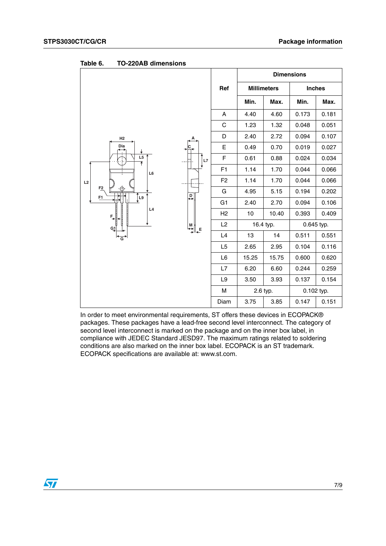|                                                                                                         |                                                                                                                               |                |           | <b>Dimensions</b>  |               |            |
|---------------------------------------------------------------------------------------------------------|-------------------------------------------------------------------------------------------------------------------------------|----------------|-----------|--------------------|---------------|------------|
|                                                                                                         |                                                                                                                               | Ref            |           | <b>Millimeters</b> | <b>Inches</b> |            |
|                                                                                                         |                                                                                                                               |                | Min.      | Max.               | Min.          | Max.       |
|                                                                                                         |                                                                                                                               | Α              | 4.40      | 4.60               | 0.173         | 0.181      |
|                                                                                                         |                                                                                                                               | C              | 1.23      | 1.32               | 0.048         | 0.051      |
| H2                                                                                                      |                                                                                                                               | D              | 2.40      | 2.72               | 0.094         | 0.107      |
| $\overset{\text{Dia}}{\leftrightarrow}$<br>↓                                                            |                                                                                                                               | E              | 0.49      | 0.70               | 0.019         | 0.027      |
| $\frac{15}{1}$<br>L6<br>L2<br>$F_{\underline{2}}$<br>$\frac{D}{\sqrt{2}}$<br>∫L9<br>F1<br>L4<br>$F_{+}$ | $\mathsf{L}7$                                                                                                                 | F              | 0.61      | 0.88               | 0.024         | 0.034      |
|                                                                                                         |                                                                                                                               | F1             | 1.14      | 1.70               | 0.044         | 0.066      |
|                                                                                                         |                                                                                                                               | F <sub>2</sub> | 1.14      | 1.70               | 0.044         | 0.066      |
|                                                                                                         |                                                                                                                               | G              | 4.95      | 5.15               | 0.194         | 0.202      |
|                                                                                                         |                                                                                                                               | G <sub>1</sub> | 2.40      | 2.70               | 0.094         | 0.106      |
|                                                                                                         |                                                                                                                               | H2             | 10        | 10.40              | 0.393         | 0.409      |
| $G_1$                                                                                                   | $\begin{array}{c}\n\mid M \\ \hline\n\uparrow \downarrow \downarrow \\ \hline\n\downarrow \downarrow \downarrow\n\end{array}$ | L2             | 16.4 typ. |                    | 0.645 typ.    |            |
| $\overline{G}$                                                                                          |                                                                                                                               | L4             | 13        | 14                 | 0.511         | 0.551      |
|                                                                                                         |                                                                                                                               | L <sub>5</sub> | 2.65      | 2.95               | 0.104         | 0.116      |
|                                                                                                         |                                                                                                                               | L <sub>6</sub> | 15.25     | 15.75              | 0.600         | 0.620      |
|                                                                                                         |                                                                                                                               | L7             | 6.20      | 6.60               | 0.244         | 0.259      |
|                                                                                                         |                                                                                                                               | L9             | 3.50      | 3.93               | 0.137         | 0.154      |
|                                                                                                         |                                                                                                                               | M              |           | 2.6 typ.           |               | 0.102 typ. |
|                                                                                                         |                                                                                                                               | Diam           | 3.75      | 3.85               | 0.147         | 0.151      |

Table 6. **Table 6. TO-220AB dimensions**

In order to meet environmental requirements, ST offers these devices in ECOPACK® packages. These packages have a lead-free second level interconnect. The category of second level interconnect is marked on the package and on the inner box label, in compliance with JEDEC Standard JESD97. The maximum ratings related to soldering conditions are also marked on the inner box label. ECOPACK is an ST trademark. ECOPACK specifications are available at: www.st.com.

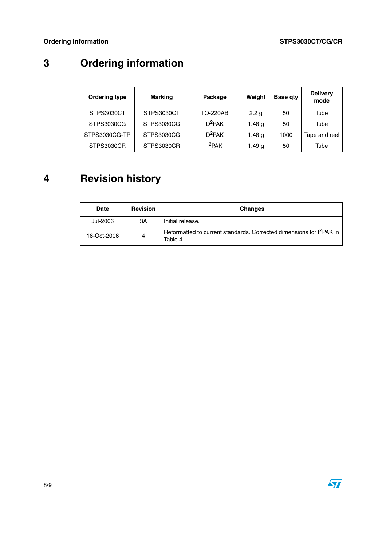# **3 Ordering information**

| <b>Ordering type</b> | <b>Marking</b> | Weight<br>Package  |                  | <b>Base qty</b> | <b>Delivery</b><br>mode |
|----------------------|----------------|--------------------|------------------|-----------------|-------------------------|
| STPS3030CT           | STPS3030CT     | TO-220AB           | 2.2 <sub>g</sub> | 50              | Tube                    |
| STPS3030CG           | STPS3030CG     | $D^2$ PAK          | 1.48 g           | 50              | Tube                    |
| STPS3030CG-TR        | STPS3030CG     | $D^2$ PAK          | 1.48 g           | 1000            | Tape and reel           |
| STPS3030CR           | STPS3030CR     | 1 <sup>2</sup> PAK | 1.49 $q$         | 50              | Tube                    |

## **4 Revision history**

| <b>Date</b> | <b>Revision</b> | <b>Changes</b>                                                                              |
|-------------|-----------------|---------------------------------------------------------------------------------------------|
| Jul-2006    | 3A              | Initial release.                                                                            |
| 16-Oct-2006 | 4               | Reformatted to current standards. Corrected dimensions for I <sup>2</sup> PAK in<br>Table 4 |